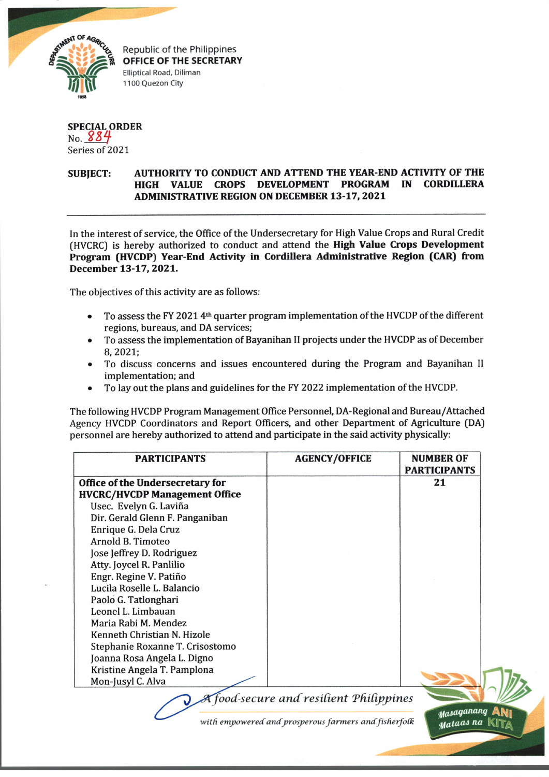

Republic of the Philippines **OFFICE OF THE SECRETARY** Elliptical Road, Diliman 1100 Quezon City

## **SPECIAL ORDER** <sub>No.</sub> 884 Series of 2021

## **SUBJECT: AUTHORITY TO CONDUCT AND ATTEND THE YEAR-END ACTIVITY OF THE HIGH VALUE CROPS DEVELOPMENT PROGRAM IN CORDILLERA ADMINISTRATIVE REGION ON DECEMBER 13-17, 2021**

In the interest of service, the Office of the Undersecretary for High Value Crops and Rural Credit (HVCRC) is hereby authorized to conduct and attend the **High Value Crops Development Program (HVCDP) Year-End Activity in Cordillera Administrative Region (CAR) from December 13-17, 2021.**

The objectives of this activity are as follows:

- To assess the FY 2021 4<sup>th</sup> quarter program implementation of the HVCDP of the different regions, bureaus, and DA services;
- To assess the implementation of Bayanihan II projects under the HVCDP as of December **8, 2021;**
- To discuss concerns and issues encountered during the Program and Bayanihan II implementation; and
- To lay out the plans and guidelines for the FY 2022 implementation of the HVCDP.

The following HVCDP Program Management Office Personnel, DA-Regional and Bureau/Attached Agency HVCDP Coordinators and Report Officers, and other Department of Agriculture (DA) personnel are hereby authorized to attend and participate in the said activity physically:

| <b>PARTICIPANTS</b>                  | <b>AGENCY/OFFICE</b> | <b>NUMBER OF</b><br><b>PARTICIPANTS</b> |
|--------------------------------------|----------------------|-----------------------------------------|
| Office of the Undersecretary for     |                      | 21                                      |
| <b>HVCRC/HVCDP Management Office</b> |                      |                                         |
| Usec. Evelyn G. Laviña               |                      |                                         |
| Dir. Gerald Glenn F. Panganiban      |                      |                                         |
| Enrique G. Dela Cruz                 |                      |                                         |
| Arnold B. Timoteo                    |                      |                                         |
| Jose Jeffrey D. Rodriguez            |                      |                                         |
| Atty. Joycel R. Panlilio             |                      |                                         |
| Engr. Regine V. Patiño               |                      |                                         |
| Lucila Roselle L. Balancio           |                      |                                         |
| Paolo G. Tatlonghari                 |                      |                                         |
| Leonel L. Limbauan                   |                      |                                         |
| Maria Rabi M. Mendez                 |                      |                                         |
| Kenneth Christian N. Hizole          |                      |                                         |
| Stephanie Roxanne T. Crisostomo      |                      |                                         |
| Joanna Rosa Angela L. Digno          |                      |                                         |
| Kristine Angela T. Pamplona          |                      |                                         |
| Mon-Jusyl C. Alva                    |                      |                                         |

*jood-secure ancCresident Tfiidppines*

with empowered and prosperous farmers and fisherfolk

*^asaqananq* A N | *Mataas na*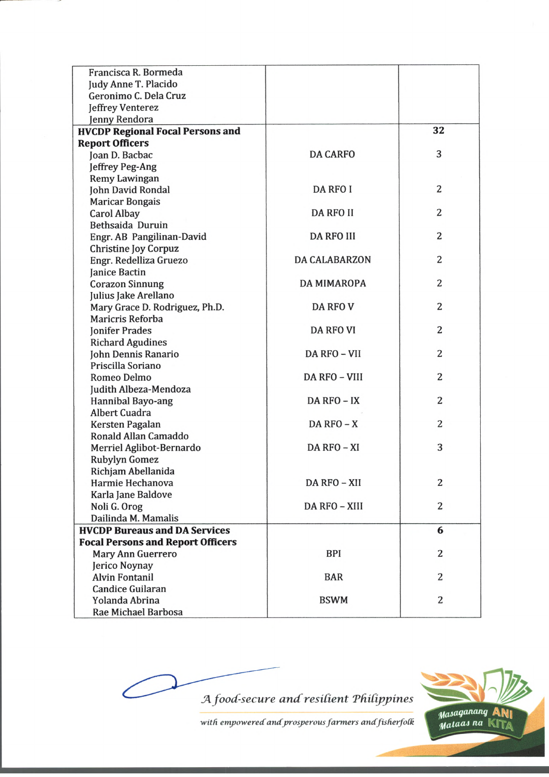| Francisca R. Bormeda                     |                      |    |
|------------------------------------------|----------------------|----|
| Judy Anne T. Placido                     |                      |    |
| Geronimo C. Dela Cruz                    |                      |    |
| Jeffrey Venterez                         |                      |    |
| Jenny Rendora                            |                      |    |
| <b>HVCDP Regional Focal Persons and</b>  |                      | 32 |
| <b>Report Officers</b>                   |                      |    |
| Joan D. Bacbac                           | <b>DA CARFO</b>      | 3  |
| Jeffrey Peg-Ang                          |                      |    |
| Remy Lawingan                            |                      |    |
| John David Rondal                        | <b>DA RFO I</b>      | 2  |
| <b>Maricar Bongais</b>                   |                      |    |
| <b>Carol Albay</b>                       | <b>DA RFO II</b>     | 2  |
| Bethsaida Duruin                         |                      |    |
| Engr. AB Pangilinan-David                | <b>DA RFO III</b>    | 2  |
| <b>Christine Joy Corpuz</b>              |                      |    |
| Engr. Redelliza Gruezo                   | <b>DA CALABARZON</b> | 2  |
| Janice Bactin                            |                      |    |
| <b>Corazon Sinnung</b>                   | DA MIMAROPA          | 2  |
| Julius Jake Arellano                     |                      |    |
| Mary Grace D. Rodriguez, Ph.D.           | <b>DA RFO V</b>      | 2  |
| Maricris Reforba                         |                      |    |
| <b>Jonifer Prades</b>                    | <b>DA RFO VI</b>     | 2  |
| <b>Richard Agudines</b>                  |                      |    |
| John Dennis Ranario                      | DA RFO - VII         | 2  |
| Priscilla Soriano                        |                      |    |
| Romeo Delmo                              | DA RFO - VIII        | 2  |
| Judith Albeza-Mendoza                    |                      |    |
| Hannibal Bayo-ang                        | DA RFO - IX          | 2  |
| <b>Albert Cuadra</b>                     |                      |    |
| Kersten Pagalan                          | $DA$ RFO $-X$        | 2  |
| Ronald Allan Camaddo                     |                      |    |
| Merriel Aglibot-Bernardo                 | DA RFO - XI          | 3  |
| <b>Rubylyn Gomez</b>                     |                      |    |
| Richjam Abellanida                       |                      |    |
| Harmie Hechanova                         | DA RFO - XII         | 2  |
| Karla Jane Baldove                       |                      |    |
| Noli G. Orog                             | DA RFO - XIII        | 2  |
| Dailinda M. Mamalis                      |                      |    |
| <b>HVCDP Bureaus and DA Services</b>     |                      | 6  |
| <b>Focal Persons and Report Officers</b> |                      |    |
| Mary Ann Guerrero                        | <b>BPI</b>           | 2  |
| Jerico Noynay                            |                      |    |
| <b>Alvin Fontanil</b>                    | <b>BAR</b>           | 2  |
| <b>Candice Guilaran</b>                  |                      |    |
| Yolanda Abrina                           | <b>BSWM</b>          | 2  |
| Rae Michael Barbosa                      |                      |    |

*JA food-secure a n d resident TfiiCippines*



with empowered and prosperous farmers and fisherfolk